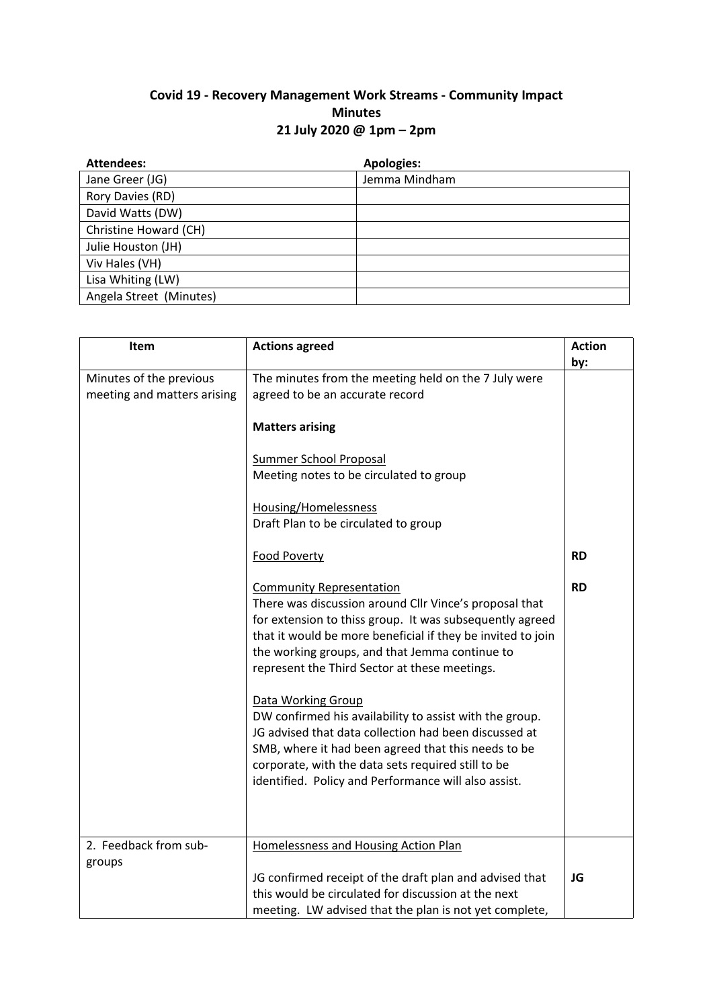## **Covid 19 - Recovery Management Work Streams - Community Impact Minutes 21 July 2020 @ 1pm – 2pm**

| <b>Attendees:</b>       | <b>Apologies:</b> |
|-------------------------|-------------------|
| Jane Greer (JG)         | Jemma Mindham     |
| Rory Davies (RD)        |                   |
| David Watts (DW)        |                   |
| Christine Howard (CH)   |                   |
| Julie Houston (JH)      |                   |
| Viv Hales (VH)          |                   |
| Lisa Whiting (LW)       |                   |
| Angela Street (Minutes) |                   |

| Item                        | <b>Actions agreed</b>                                       | <b>Action</b> |
|-----------------------------|-------------------------------------------------------------|---------------|
|                             |                                                             | by:           |
| Minutes of the previous     | The minutes from the meeting held on the 7 July were        |               |
| meeting and matters arising | agreed to be an accurate record                             |               |
|                             | <b>Matters arising</b>                                      |               |
|                             |                                                             |               |
|                             | <b>Summer School Proposal</b>                               |               |
|                             | Meeting notes to be circulated to group                     |               |
|                             |                                                             |               |
|                             | Housing/Homelessness                                        |               |
|                             | Draft Plan to be circulated to group                        |               |
|                             | Food Poverty                                                | <b>RD</b>     |
|                             |                                                             |               |
|                             | <b>Community Representation</b>                             | <b>RD</b>     |
|                             | There was discussion around Cllr Vince's proposal that      |               |
|                             | for extension to thiss group. It was subsequently agreed    |               |
|                             | that it would be more beneficial if they be invited to join |               |
|                             | the working groups, and that Jemma continue to              |               |
|                             | represent the Third Sector at these meetings.               |               |
|                             |                                                             |               |
|                             | <b>Data Working Group</b>                                   |               |
|                             | DW confirmed his availability to assist with the group.     |               |
|                             | JG advised that data collection had been discussed at       |               |
|                             | SMB, where it had been agreed that this needs to be         |               |
|                             | corporate, with the data sets required still to be          |               |
|                             | identified. Policy and Performance will also assist.        |               |
|                             |                                                             |               |
|                             |                                                             |               |
| 2. Feedback from sub-       | Homelessness and Housing Action Plan                        |               |
| groups                      |                                                             |               |
|                             | JG confirmed receipt of the draft plan and advised that     | JG            |
|                             | this would be circulated for discussion at the next         |               |
|                             | meeting. LW advised that the plan is not yet complete,      |               |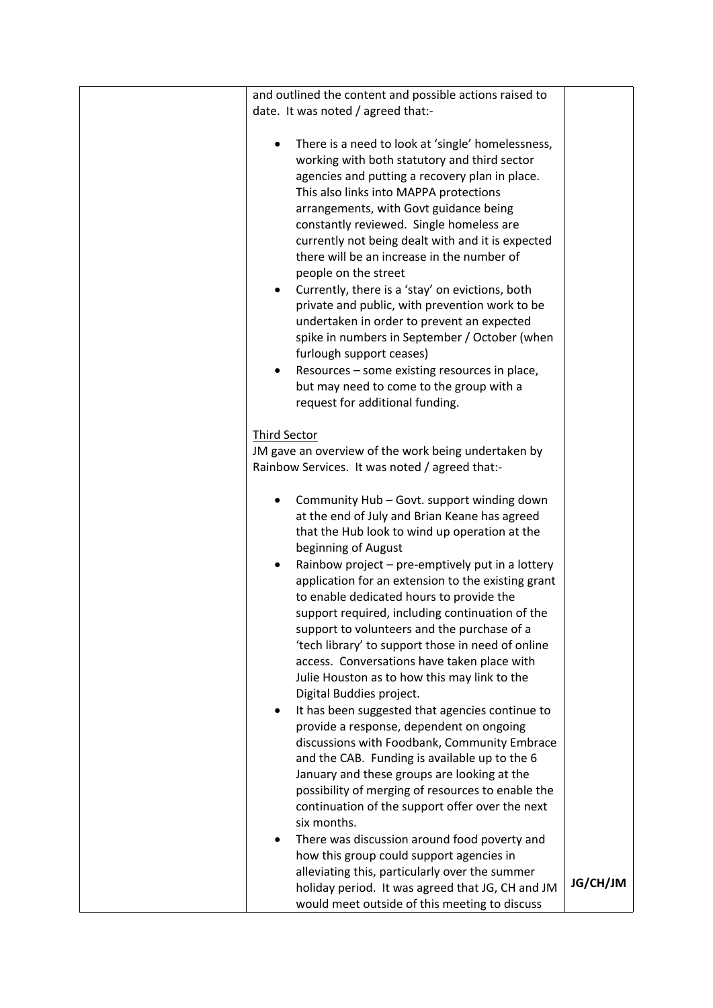|           | and outlined the content and possible actions raised to |          |
|-----------|---------------------------------------------------------|----------|
|           | date. It was noted / agreed that:-                      |          |
|           |                                                         |          |
| $\bullet$ | There is a need to look at 'single' homelessness,       |          |
|           | working with both statutory and third sector            |          |
|           | agencies and putting a recovery plan in place.          |          |
|           | This also links into MAPPA protections                  |          |
|           | arrangements, with Govt guidance being                  |          |
|           | constantly reviewed. Single homeless are                |          |
|           | currently not being dealt with and it is expected       |          |
|           |                                                         |          |
|           | there will be an increase in the number of              |          |
|           | people on the street                                    |          |
| $\bullet$ | Currently, there is a 'stay' on evictions, both         |          |
|           | private and public, with prevention work to be          |          |
|           | undertaken in order to prevent an expected              |          |
|           | spike in numbers in September / October (when           |          |
|           | furlough support ceases)                                |          |
| $\bullet$ | Resources - some existing resources in place,           |          |
|           | but may need to come to the group with a                |          |
|           | request for additional funding.                         |          |
|           |                                                         |          |
|           | <b>Third Sector</b>                                     |          |
|           | JM gave an overview of the work being undertaken by     |          |
|           | Rainbow Services. It was noted / agreed that:-          |          |
|           |                                                         |          |
| ٠         | Community Hub - Govt. support winding down              |          |
|           | at the end of July and Brian Keane has agreed           |          |
|           | that the Hub look to wind up operation at the           |          |
|           | beginning of August                                     |          |
|           |                                                         |          |
| $\bullet$ | Rainbow project - pre-emptively put in a lottery        |          |
|           | application for an extension to the existing grant      |          |
|           | to enable dedicated hours to provide the                |          |
|           | support required, including continuation of the         |          |
|           | support to volunteers and the purchase of a             |          |
|           | 'tech library' to support those in need of online       |          |
|           | access. Conversations have taken place with             |          |
|           | Julie Houston as to how this may link to the            |          |
|           | Digital Buddies project.                                |          |
|           | It has been suggested that agencies continue to         |          |
|           | provide a response, dependent on ongoing                |          |
|           | discussions with Foodbank, Community Embrace            |          |
|           | and the CAB. Funding is available up to the 6           |          |
|           | January and these groups are looking at the             |          |
|           | possibility of merging of resources to enable the       |          |
|           | continuation of the support offer over the next         |          |
|           | six months.                                             |          |
|           | There was discussion around food poverty and            |          |
|           | how this group could support agencies in                |          |
|           | alleviating this, particularly over the summer          |          |
|           |                                                         | JG/CH/JM |
|           | holiday period. It was agreed that JG, CH and JM        |          |
|           | would meet outside of this meeting to discuss           |          |